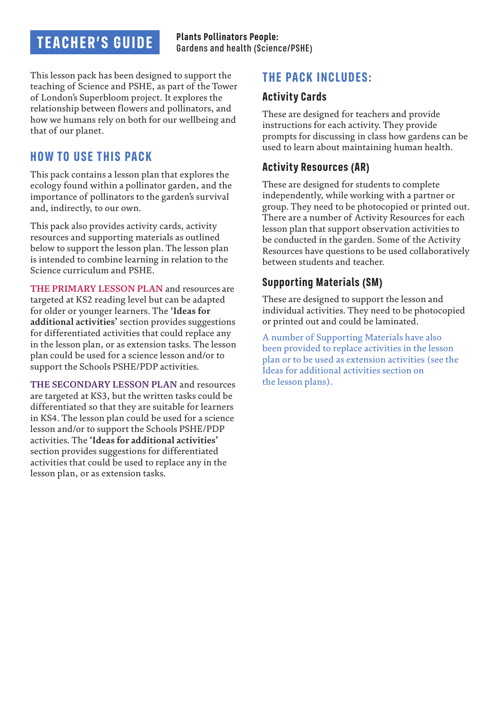# **TEACHER'S GUIDE**

This lesson pack has been designed to support the teaching of Science and PSHE, as part of the Tower of London's Superbloom project. It explores the relationship between flowers and pollinators, and how we humans rely on both for our wellbeing and that of our planet.

## **HOW TO USE THIS PACK**

This pack contains a lesson plan that explores the ecology found within a pollinator garden, and the importance of pollinators to the garden's survival and, indirectly, to our own.

This pack also provides activity cards, activity resources and supporting materials as outlined below to support the lesson plan. The lesson plan is intended to combine learning in relation to the Science curriculum and PSHE.

**THE PRIMARY LESSON PLAN** and resources are targeted at KS2 reading level but can be adapted for older or younger learners. The **'Ideas for additional activities'** section provides suggestions for differentiated activities that could replace any in the lesson plan, or as extension tasks. The lesson plan could be used for a science lesson and/or to support the Schools PSHE/PDP activities.

**THE SECONDARY LESSON PLAN** and resources are targeted at KS3, but the written tasks could be differentiated so that they are suitable for learners in KS4. The lesson plan could be used for a science lesson and/or to support the Schools PSHE/PDP activities. The **'Ideas for additional activities'** section provides suggestions for differentiated activities that could be used to replace any in the lesson plan, or as extension tasks.

## **THE PACK INCLUDES:**

#### **Activity Cards**

These are designed for teachers and provide instructions for each activity. They provide prompts for discussing in class how gardens can be used to learn about maintaining human health.

### **Activity Resources (AR)**

These are designed for students to complete independently, while working with a partner or group. They need to be photocopied or printed out. There are a number of Activity Resources for each lesson plan that support observation activities to be conducted in the garden. Some of the Activity Resources have questions to be used collaboratively between students and teacher.

#### **Supporting Materials (SM)**

These are designed to support the lesson and individual activities. They need to be photocopied or printed out and could be laminated.

A number of Supporting Materials have also been provided to replace activities in the lesson plan or to be used as extension activities (see the Ideas for additional activities section on the lesson plans).